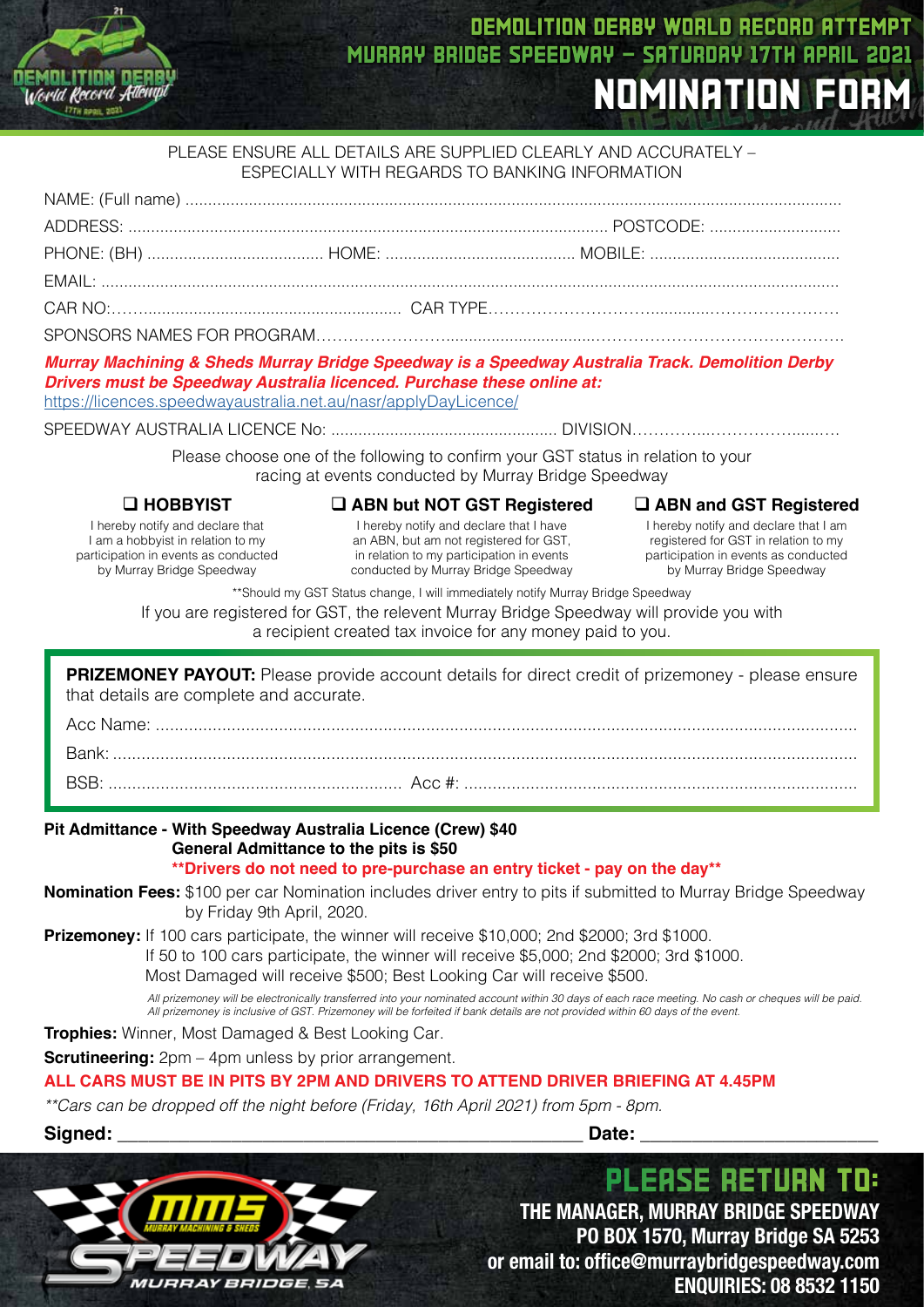

## DEMOLITION DERBY WORLD RECORD ATTEMPT MURRAY BRIDGE SPEEDWAY - SATURDAY 17TH APRIL 2021 NOMINATION FORM

#### PLEASE ENSURE ALL DETAILS ARE SUPPLIED CLEARLY AND ACCURATELY – ESPECIALLY WITH REGARDS TO BANKING INFORMATION

*Murray Machining & Sheds Murray Bridge Speedway is a Speedway Australia Track. Demolition Derby Drivers must be Speedway Australia licenced. Purchase these online at:*

https://licences.speedwayaustralia.net.au/nasr/applyDayLicence/

SPEEDWAY AUSTRALIA LICENCE No: .................................................. DIVISION…………...……………......….

Please choose one of the following to confirm your GST status in relation to your racing at events conducted by Murray Bridge Speedway

#### q **HOBBYIST**

I hereby notify and declare that I am a hobbyist in relation to my participation in events as conducted by Murray Bridge Speedway

#### q **ABN but NOT GST Registered**

I hereby notify and declare that I have an ABN, but am not registered for GST, in relation to my participation in events conducted by Murray Bridge Speedway q **ABN and GST Registered**

I hereby notify and declare that I am registered for GST in relation to my participation in events as conducted by Murray Bridge Speedway

\*\*Should my GST Status change, I will immediately notify Murray Bridge Speedway

If you are registered for GST, the relevent Murray Bridge Speedway will provide you with

a recipient created tax invoice for any money paid to you.

**PRIZEMONEY PAYOUT:** Please provide account details for direct credit of prizemoney - please ensure that details are complete and accurate. Acc Name: .................

Bank: ............................................................................................................................................................. BSB: .............................................................. Acc #: ...................................................................................

## **Pit Admittance - With Speedway Australia Licence (Crew) \$40 General Admittance to the pits is \$50**

#### **\*\*Drivers do not need to pre-purchase an entry ticket - pay on the day\*\***

**Nomination Fees:** \$100 per car Nomination includes driver entry to pits if submitted to Murray Bridge Speedway by Friday 9th April, 2020.

**Prizemoney:** If 100 cars participate, the winner will receive \$10,000; 2nd \$2000; 3rd \$1000.

If 50 to 100 cars participate, the winner will receive \$5,000; 2nd \$2000; 3rd \$1000.

Most Damaged will receive \$500; Best Looking Car will receive \$500.

 *All prizemoney will be electronically transferred into your nominated account within 30 days of each race meeting. No cash or cheques will be paid. All prizemoney is inclusive of GST. Prizemoney will be forfeited if bank details are not provided within 60 days of the event.*

**Trophies:** Winner, Most Damaged & Best Looking Car.

**Scrutineering:**  $2pm - 4pm$  unless by prior arrangement.

**ALL CARS MUST BE IN PITS BY 2PM AND DRIVERS TO ATTEND DRIVER BRIEFING AT 4.45PM**

*\*\*Cars can be dropped off the night before (Friday, 16th April 2021) from 5pm - 8pm.*

**Signed: \_\_\_\_\_\_\_\_\_\_\_\_\_\_\_\_\_\_\_\_\_\_\_\_\_\_\_\_\_\_\_\_\_\_\_\_\_\_\_\_\_\_\_\_\_ Date: \_\_\_\_\_\_\_\_\_\_\_\_\_\_\_\_\_\_\_\_\_\_\_**



**THE MANAGER, MURRAY BRIDGE SPEEDWAY PO BOX 1570, Murray Bridge SA 5253 or email to: office@murraybridgespeedway.com ENQUIRIES: 08 8532 1150**

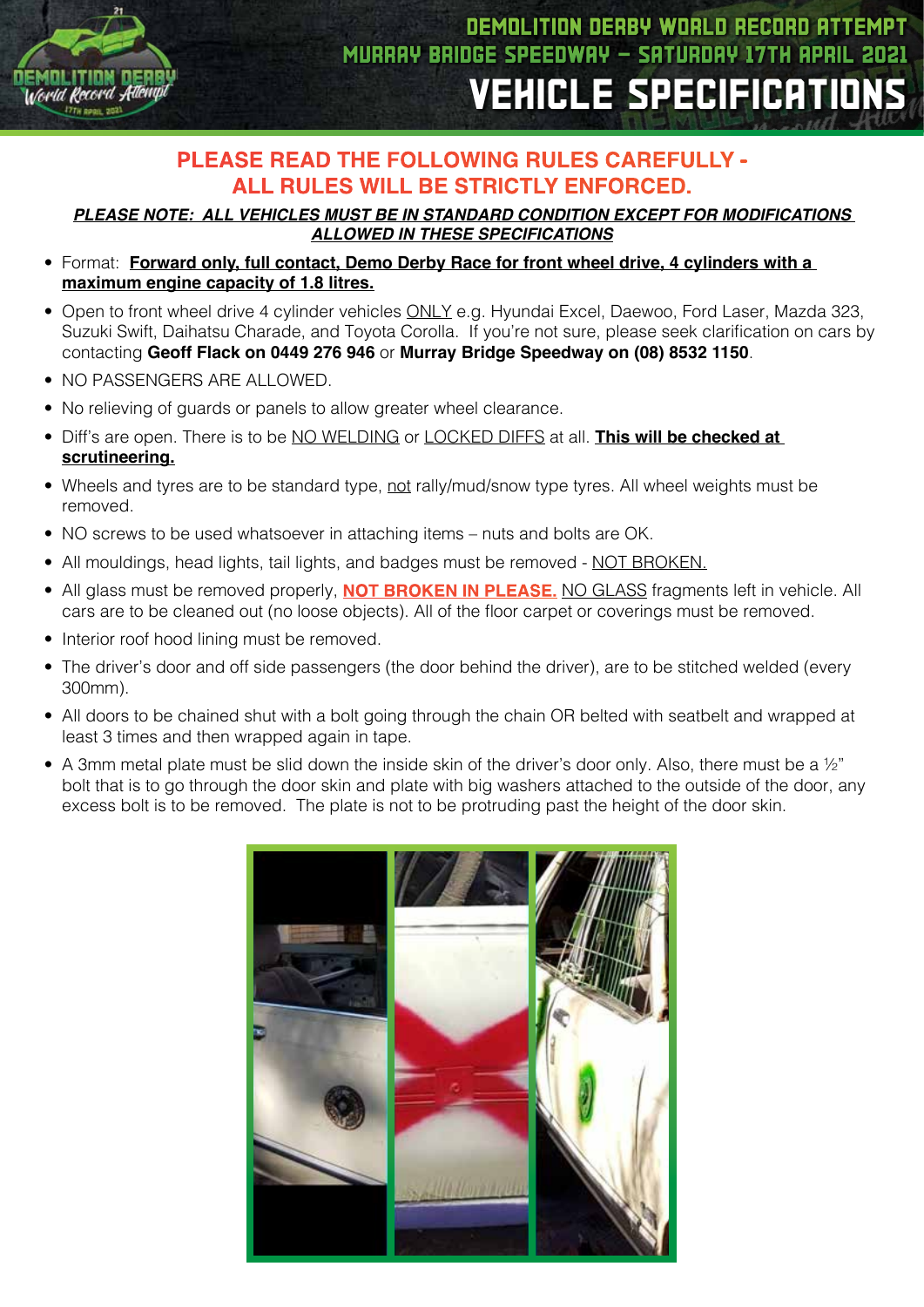

## **PLEASE READ THE FOLLOWING RULES CAREFULLY - ALL RULES WILL BE STRICTLY ENFORCED.**

*PLEASE NOTE: ALL VEHICLES MUST BE IN STANDARD CONDITION EXCEPT FOR MODIFICATIONS ALLOWED IN THESE SPECIFICATIONS*

- Format: **Forward only, full contact, Demo Derby Race for front wheel drive, 4 cylinders with a maximum engine capacity of 1.8 litres.**
- Open to front wheel drive 4 cylinder vehicles **ONLY** e.g. Hyundai Excel, Daewoo, Ford Laser, Mazda 323, Suzuki Swift, Daihatsu Charade, and Toyota Corolla. If you're not sure, please seek clarification on cars by contacting **Geoff Flack on 0449 276 946** or **Murray Bridge Speedway on (08) 8532 1150**.
- NO PASSENGERS ARE ALLOWED.
- No relieving of quards or panels to allow greater wheel clearance.
- Diff's are open. There is to be NO WELDING or LOCKED DIFFS at all. **This will be checked at scrutineering.**
- Wheels and tyres are to be standard type, not rally/mud/snow type tyres. All wheel weights must be removed.
- NO screws to be used whatsoever in attaching items nuts and bolts are OK.
- All mouldings, head lights, tail lights, and badges must be removed NOT BROKEN.
- All glass must be removed properly, **NOT BROKEN IN PLEASE.** NO GLASS fragments left in vehicle. All cars are to be cleaned out (no loose objects). All of the floor carpet or coverings must be removed.
- Interior roof hood lining must be removed.
- The driver's door and off side passengers (the door behind the driver), are to be stitched welded (every 300mm).
- All doors to be chained shut with a bolt going through the chain OR belted with seatbelt and wrapped at least 3 times and then wrapped again in tape.
- A 3mm metal plate must be slid down the inside skin of the driver's door only. Also, there must be a 1/2" bolt that is to go through the door skin and plate with big washers attached to the outside of the door, any excess bolt is to be removed. The plate is not to be protruding past the height of the door skin.

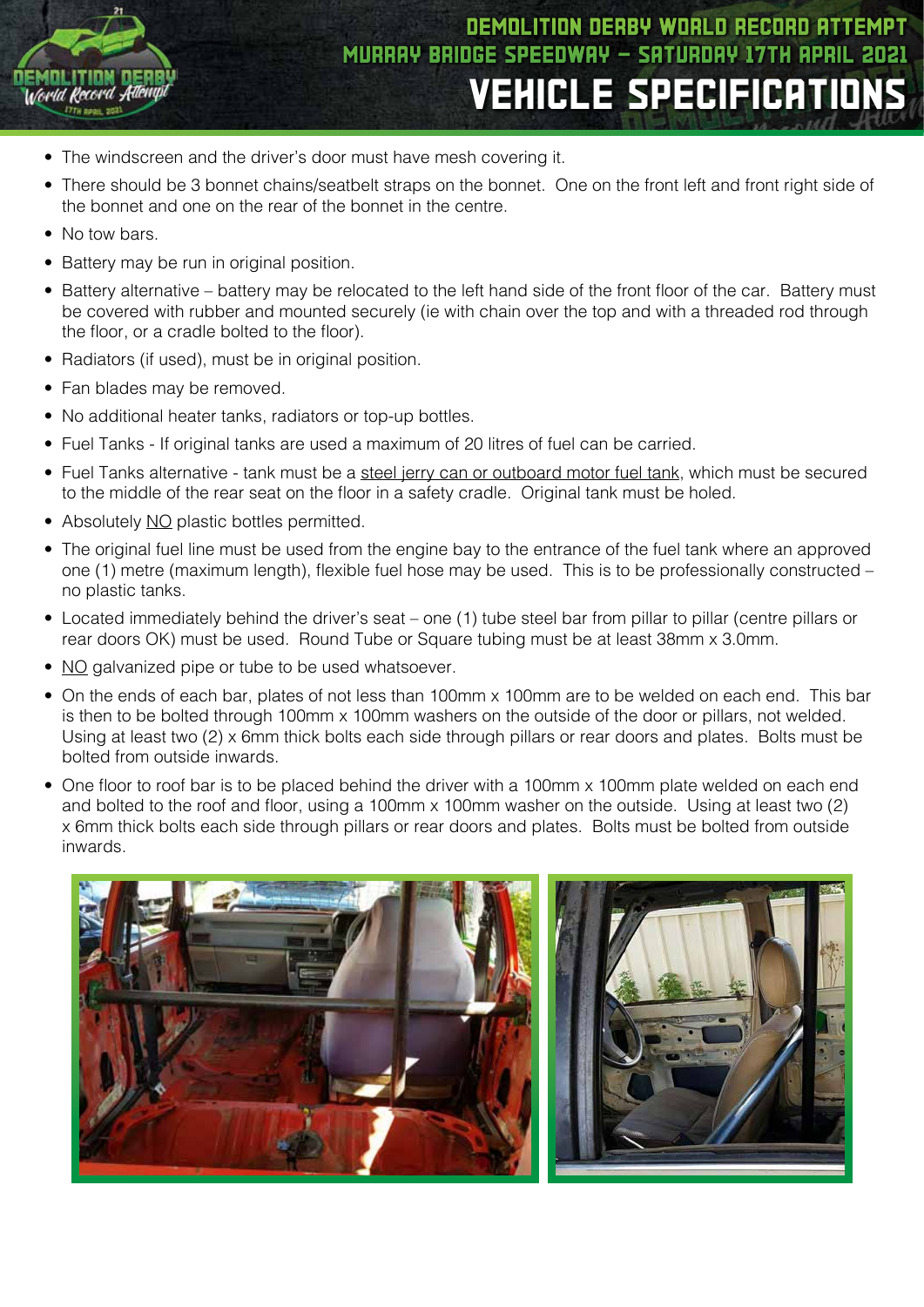

# DEMOLITION DERBY WORLD RECORD ATTEMPT MURRAY BRIDGE SPEEDWAY - SATURDAY 17TH APRIL 2021 VEHICLE SPECIFICATIONS

- The windscreen and the driver's door must have mesh covering it.
- There should be 3 bonnet chains/seatbelt straps on the bonnet. One on the front left and front right side of the bonnet and one on the rear of the bonnet in the centre.
- No tow bars.
- Battery may be run in original position.
- Battery alternative battery may be relocated to the left hand side of the front floor of the car. Battery must be covered with rubber and mounted securely (ie with chain over the top and with a threaded rod through the floor, or a cradle bolted to the floor).
- Radiators (if used), must be in original position.
- Fan blades may be removed.
- No additional heater tanks, radiators or top-up bottles.
- Fuel Tanks If original tanks are used a maximum of 20 litres of fuel can be carried.
- Fuel Tanks alternative tank must be a steel jerry can or outboard motor fuel tank, which must be secured to the middle of the rear seat on the floor in a safety cradle. Original tank must be holed.
- Absolutely NO plastic bottles permitted.
- The original fuel line must be used from the engine bay to the entrance of the fuel tank where an approved one (1) metre (maximum length), flexible fuel hose may be used. This is to be professionally constructed – no plastic tanks.
- Located immediately behind the driver's seat one (1) tube steel bar from pillar to pillar (centre pillars or rear doors OK) must be used. Round Tube or Square tubing must be at least 38mm x 3.0mm.
- NO galvanized pipe or tube to be used whatsoever.
- On the ends of each bar, plates of not less than 100mm x 100mm are to be welded on each end. This bar is then to be bolted through 100mm x 100mm washers on the outside of the door or pillars, not welded. Using at least two (2) x 6mm thick bolts each side through pillars or rear doors and plates. Bolts must be bolted from outside inwards.
- One floor to roof bar is to be placed behind the driver with a 100mm x 100mm plate welded on each end and bolted to the roof and floor, using a 100mm x 100mm washer on the outside. Using at least two (2) x 6mm thick bolts each side through pillars or rear doors and plates. Bolts must be bolted from outside inwards.

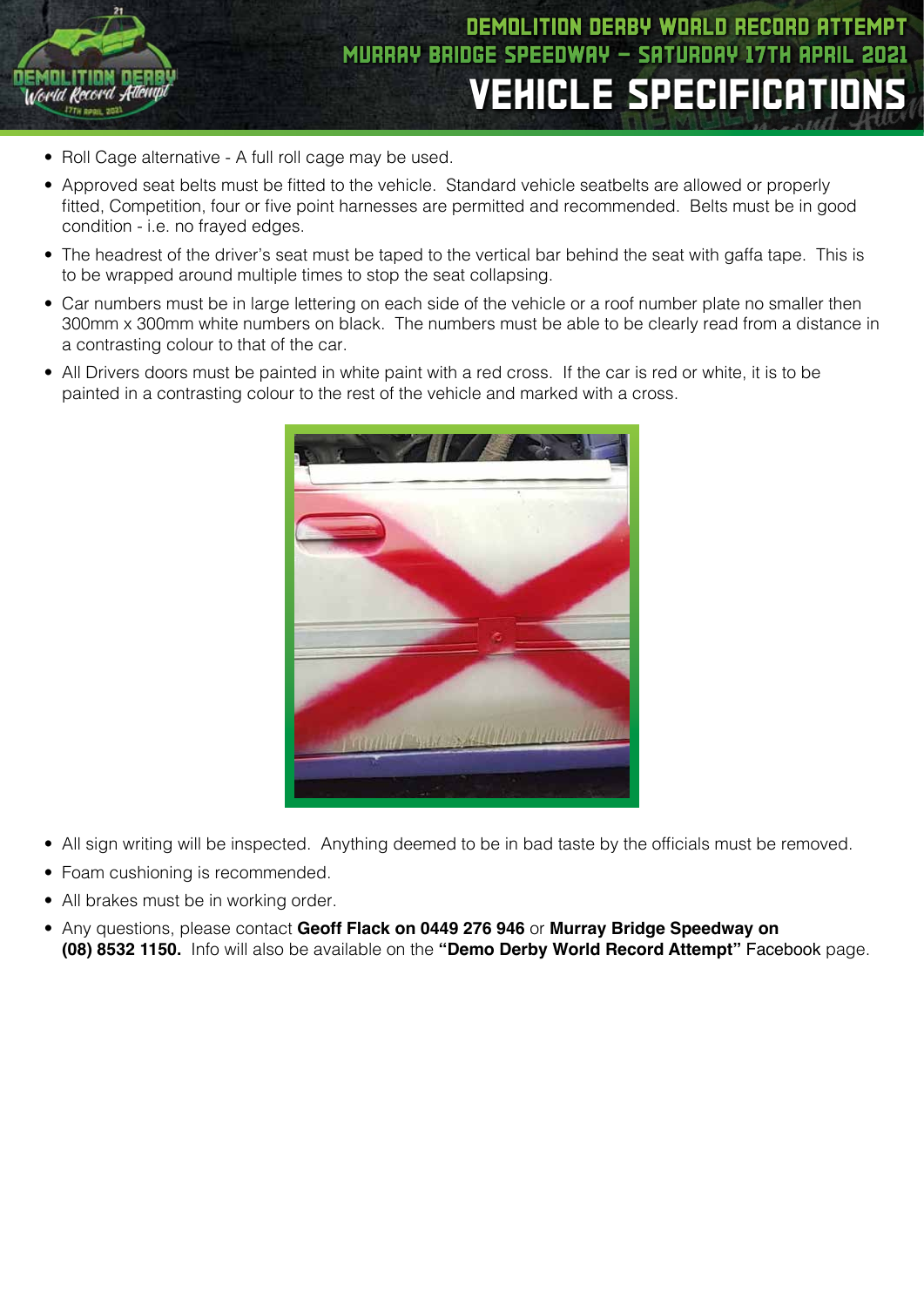

- Roll Cage alternative A full roll cage may be used.
- Approved seat belts must be fitted to the vehicle. Standard vehicle seatbelts are allowed or properly fitted, Competition, four or five point harnesses are permitted and recommended. Belts must be in good condition - i.e. no frayed edges.
- The headrest of the driver's seat must be taped to the vertical bar behind the seat with gaffa tape. This is to be wrapped around multiple times to stop the seat collapsing.
- Car numbers must be in large lettering on each side of the vehicle or a roof number plate no smaller then 300mm x 300mm white numbers on black. The numbers must be able to be clearly read from a distance in a contrasting colour to that of the car.
- All Drivers doors must be painted in white paint with a red cross. If the car is red or white, it is to be painted in a contrasting colour to the rest of the vehicle and marked with a cross.



- All sign writing will be inspected. Anything deemed to be in bad taste by the officials must be removed.
- Foam cushioning is recommended.
- All brakes must be in working order.
- Any questions, please contact **Geoff Flack on 0449 276 946** or **Murray Bridge Speedway on (08) 8532 1150.** Info will also be available on the **"Demo Derby World Record Attempt"** Facebook page.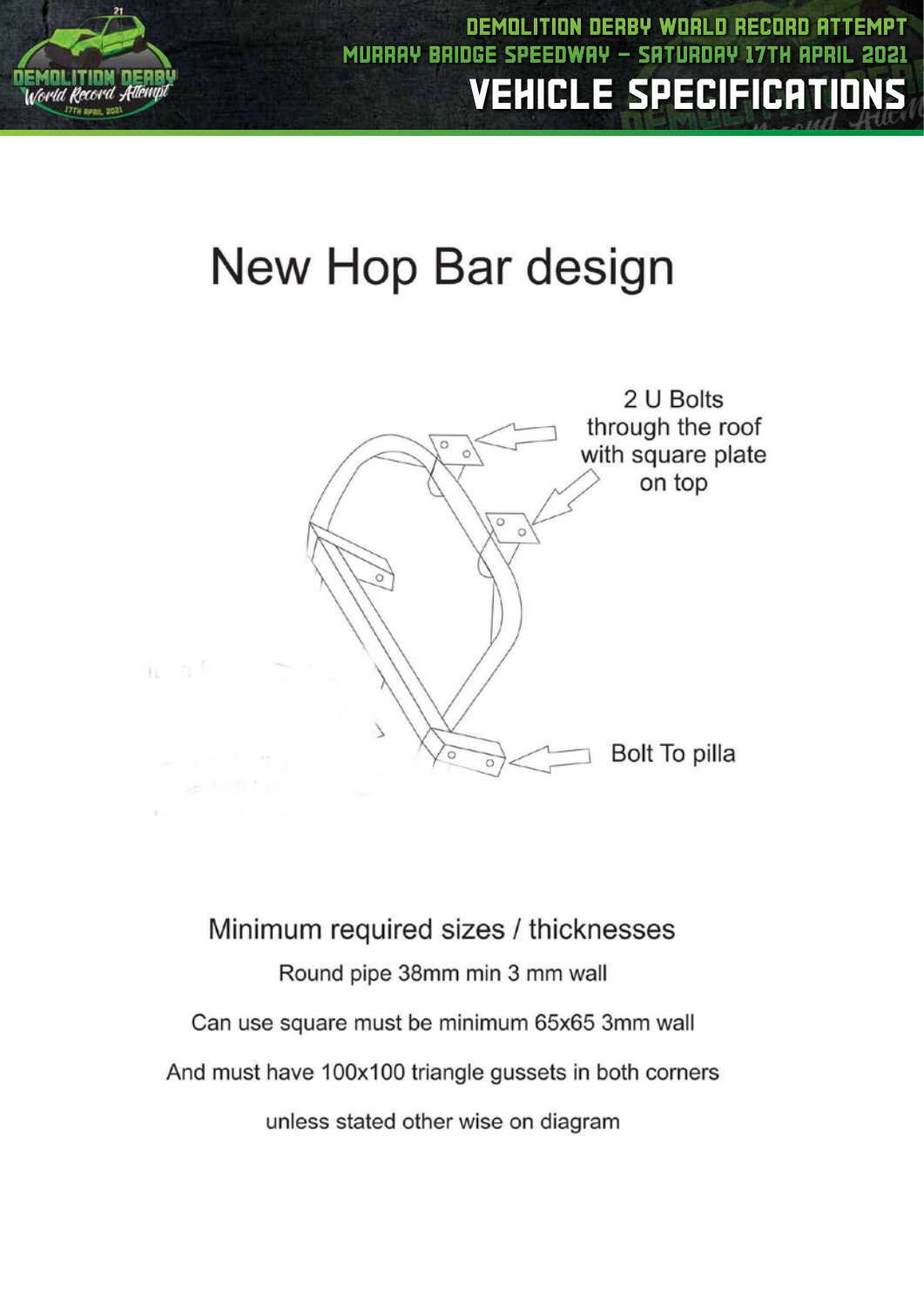

DEMOLITION DERBY WORLD RECORD ATTEMPT MURRAY BRIDG VEHICLE SPECIFICATIONS

# New Hop Bar design



Minimum required sizes / thicknesses Round pipe 38mm min 3 mm wall Can use square must be minimum 65x65 3mm wall And must have 100x100 triangle gussets in both corners unless stated other wise on diagram